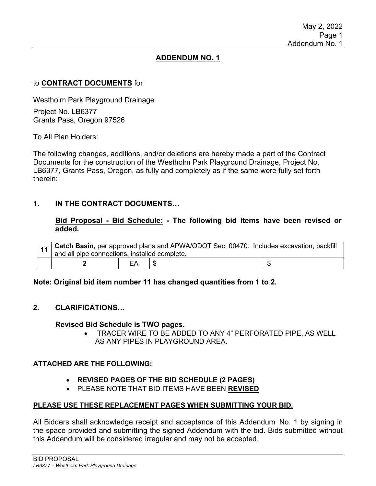## **ADDENDUM NO. 1**

## to **CONTRACT DOCUMENTS** for

Westholm Park Playground Drainage Project No. LB6377 Grants Pass, Oregon 97526

To All Plan Holders:

The following changes, additions, and/or deletions are hereby made a part of the Contract Documents for the construction of the Westholm Park Playground Drainage, Project No. LB6377, Grants Pass, Oregon, as fully and completely as if the same were fully set forth therein:

## **1. IN THE CONTRACT DOCUMENTS…**

**Bid Proposal - Bid Schedule: - The following bid items have been revised or added.**

|  | 11   Catch Basin, per approved plans and APWA/ODOT Sec. 00470. Includes excavation, backfill<br>and all pipe connections, installed complete. |  |  |  |  |  |
|--|-----------------------------------------------------------------------------------------------------------------------------------------------|--|--|--|--|--|
|  |                                                                                                                                               |  |  |  |  |  |

**Note: Original bid item number 11 has changed quantities from 1 to 2.**

## **2. CLARIFICATIONS…**

#### **Revised Bid Schedule is TWO pages.**

• TRACER WIRE TO BE ADDED TO ANY 4" PERFORATED PIPE, AS WELL AS ANY PIPES IN PLAYGROUND AREA.

#### **ATTACHED ARE THE FOLLOWING:**

- **REVISED PAGES OF THE BID SCHEDULE (2 PAGES)**
- PLEASE NOTE THAT BID ITEMS HAVE BEEN **REVISED**

#### **PLEASE USE THESE REPLACEMENT PAGES WHEN SUBMITTING YOUR BID.**

All Bidders shall acknowledge receipt and acceptance of this Addendum No. 1 by signing in the space provided and submitting the signed Addendum with the bid. Bids submitted without this Addendum will be considered irregular and may not be accepted.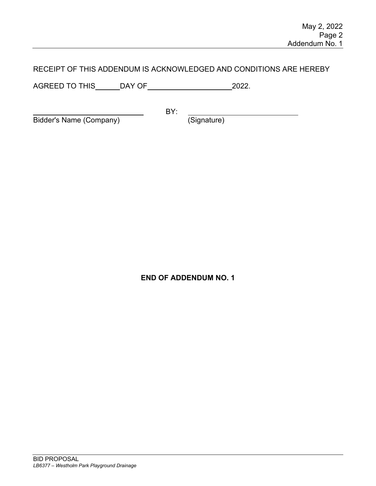# RECEIPT OF THIS ADDENDUM IS ACKNOWLEDGED AND CONDITIONS ARE HEREBY

AGREED TO THIS DAY OF 2022.

Bidder's Name (Company) (Signature)

BY:

**END OF ADDENDUM NO. 1**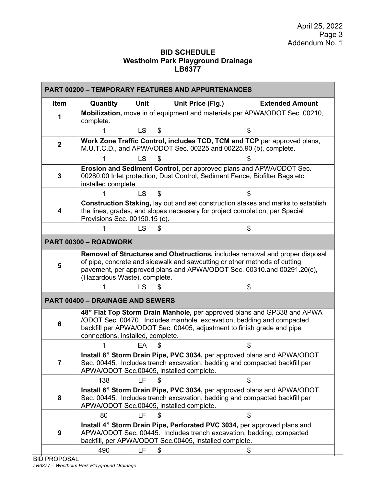## **BID SCHEDULE Westholm Park Playground Drainage LB6377**

| <b>PART 00200 - TEMPORARY FEATURES AND APPURTENANCES</b>                                                                                                                                                        |                                                                                                                                                                                                                                                                     |             |                   |                        |  |  |  |  |
|-----------------------------------------------------------------------------------------------------------------------------------------------------------------------------------------------------------------|---------------------------------------------------------------------------------------------------------------------------------------------------------------------------------------------------------------------------------------------------------------------|-------------|-------------------|------------------------|--|--|--|--|
| <b>Item</b>                                                                                                                                                                                                     | Quantity                                                                                                                                                                                                                                                            | <b>Unit</b> | Unit Price (Fig.) | <b>Extended Amount</b> |  |  |  |  |
|                                                                                                                                                                                                                 | Mobilization, move in of equipment and materials per APWA/ODOT Sec. 00210,                                                                                                                                                                                          |             |                   |                        |  |  |  |  |
|                                                                                                                                                                                                                 |                                                                                                                                                                                                                                                                     | <b>LS</b>   | \$                |                        |  |  |  |  |
| $\mathbf{2}$                                                                                                                                                                                                    | Work Zone Traffic Control, includes TCD, TCM and TCP per approved plans,<br>M.U.T.C.D., and APWA/ODOT Sec. 00225 and 00225.90 (b), complete.                                                                                                                        |             |                   |                        |  |  |  |  |
|                                                                                                                                                                                                                 |                                                                                                                                                                                                                                                                     | <b>LS</b>   | \$                |                        |  |  |  |  |
| 3                                                                                                                                                                                                               | Erosion and Sediment Control, per approved plans and APWA/ODOT Sec.<br>00280.00 Inlet protection, Dust Control, Sediment Fence, Biofilter Bags etc.,<br>installed complete.                                                                                         |             |                   |                        |  |  |  |  |
|                                                                                                                                                                                                                 |                                                                                                                                                                                                                                                                     | <b>LS</b>   | \$                |                        |  |  |  |  |
| 4                                                                                                                                                                                                               | Construction Staking, lay out and set construction stakes and marks to establish<br>the lines, grades, and slopes necessary for project completion, per Special<br>Provisions Sec. 00150.15 (c).                                                                    |             |                   |                        |  |  |  |  |
|                                                                                                                                                                                                                 |                                                                                                                                                                                                                                                                     | <b>LS</b>   | \$                | \$                     |  |  |  |  |
| PART 00300 - ROADWORK                                                                                                                                                                                           |                                                                                                                                                                                                                                                                     |             |                   |                        |  |  |  |  |
| 5                                                                                                                                                                                                               | Removal of Structures and Obstructions, includes removal and proper disposal<br>of pipe, concrete and sidewalk and sawcutting or other methods of cutting<br>pavement, per approved plans and APWA/ODOT Sec. 00310.and 00291.20(c),<br>(Hazardous Waste), complete. |             |                   |                        |  |  |  |  |
|                                                                                                                                                                                                                 |                                                                                                                                                                                                                                                                     | <b>LS</b>   | S                 | \$                     |  |  |  |  |
|                                                                                                                                                                                                                 | <b>PART 00400 - DRAINAGE AND SEWERS</b>                                                                                                                                                                                                                             |             |                   |                        |  |  |  |  |
| 6                                                                                                                                                                                                               | 48" Flat Top Storm Drain Manhole, per approved plans and GP338 and APWA<br>/ODOT Sec. 00470. Includes manhole, excavation, bedding and compacted<br>backfill per APWA/ODOT Sec. 00405, adjustment to finish grade and pipe<br>connections, installed, complete.     |             |                   |                        |  |  |  |  |
|                                                                                                                                                                                                                 |                                                                                                                                                                                                                                                                     | EA          |                   | \$.                    |  |  |  |  |
| Install 8" Storm Drain Pipe, PVC 3034, per approved plans and APWA/ODOT<br>Sec. 00445. Includes trench excavation, bedding and compacted backfill per<br>7<br>APWA/ODOT Sec.00405, installed complete.          |                                                                                                                                                                                                                                                                     |             |                   |                        |  |  |  |  |
|                                                                                                                                                                                                                 | 138                                                                                                                                                                                                                                                                 | LF          | \$                | \$                     |  |  |  |  |
| 8                                                                                                                                                                                                               | Install 6" Storm Drain Pipe, PVC 3034, per approved plans and APWA/ODOT<br>Sec. 00445. Includes trench excavation, bedding and compacted backfill per<br>APWA/ODOT Sec.00405, installed complete.                                                                   |             |                   |                        |  |  |  |  |
|                                                                                                                                                                                                                 | 80                                                                                                                                                                                                                                                                  | LF          | S                 | \$                     |  |  |  |  |
| Install 4" Storm Drain Pipe, Perforated PVC 3034, per approved plans and<br>APWA/ODOT Sec. 00445. Includes trench excavation, bedding, compacted<br>9<br>backfill, per APWA/ODOT Sec.00405, installed complete. |                                                                                                                                                                                                                                                                     |             |                   |                        |  |  |  |  |
|                                                                                                                                                                                                                 | 490                                                                                                                                                                                                                                                                 | LF          | \$                | \$                     |  |  |  |  |